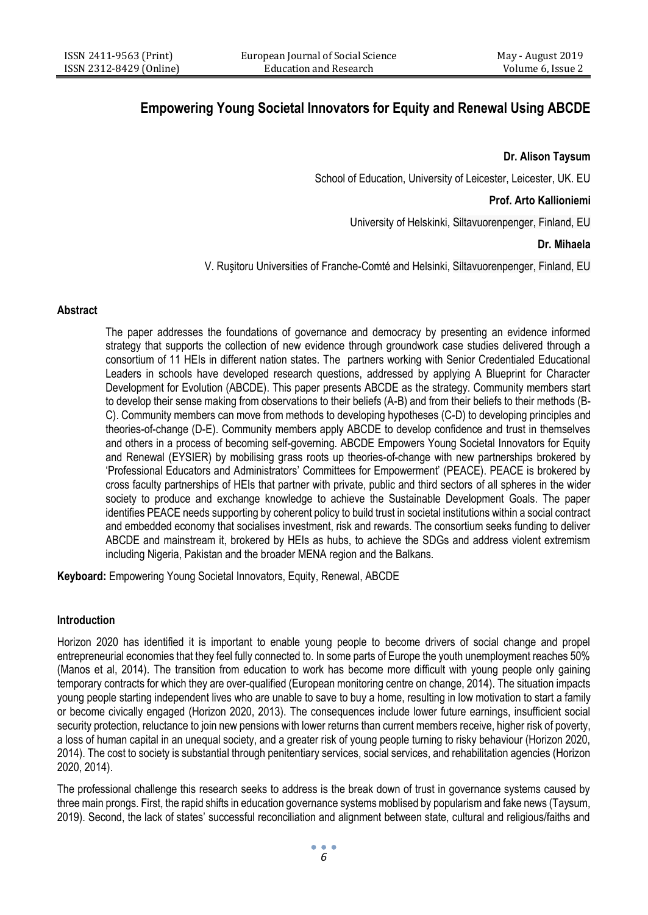# **Empowering Young Societal Innovators for Equity and Renewal Using ABCDE**

## **Dr. Alison Taysum**

School of Education, University of Leicester, Leicester, UK. EU

## **Prof. Arto Kallioniemi**

University of Helskinki, Siltavuorenpenger, Finland, EU

## **Dr. Mihaela**

V. Ruşitoru Universities of Franche-Comté and Helsinki, Siltavuorenpenger, Finland, EU

### **Abstract**

The paper addresses the foundations of governance and democracy by presenting an evidence informed strategy that supports the collection of new evidence through groundwork case studies delivered through a consortium of 11 HEIs in different nation states. The partners working with Senior Credentialed Educational Leaders in schools have developed research questions, addressed by applying A Blueprint for Character Development for Evolution (ABCDE). This paper presents ABCDE as the strategy. Community members start to develop their sense making from observations to their beliefs (A-B) and from their beliefs to their methods (B-C). Community members can move from methods to developing hypotheses (C-D) to developing principles and theories-of-change (D-E). Community members apply ABCDE to develop confidence and trust in themselves and others in a process of becoming self-governing. ABCDE Empowers Young Societal Innovators for Equity and Renewal (EYSIER) by mobilising grass roots up theories-of-change with new partnerships brokered by 'Professional Educators and Administrators' Committees for Empowerment' (PEACE). PEACE is brokered by cross faculty partnerships of HEIs that partner with private, public and third sectors of all spheres in the wider society to produce and exchange knowledge to achieve the Sustainable Development Goals. The paper identifies PEACE needs supporting by coherent policy to build trust in societal institutions within a social contract and embedded economy that socialises investment, risk and rewards. The consortium seeks funding to deliver ABCDE and mainstream it, brokered by HEIs as hubs, to achieve the SDGs and address violent extremism including Nigeria, Pakistan and the broader MENA region and the Balkans.

**Keyboard:** Empowering Young Societal Innovators, Equity, Renewal, ABCDE

# **Introduction**

Horizon 2020 has identified it is important to enable young people to become drivers of social change and propel entrepreneurial economies that they feel fully connected to. In some parts of Europe the youth unemployment reaches 50% (Manos et al, 2014). The transition from education to work has become more difficult with young people only gaining temporary contracts for which they are over-qualified (European monitoring centre on change, 2014). The situation impacts young people starting independent lives who are unable to save to buy a home, resulting in low motivation to start a family or become civically engaged (Horizon 2020, 2013). The consequences include lower future earnings, insufficient social security protection, reluctance to join new pensions with lower returns than current members receive, higher risk of poverty, a loss of human capital in an unequal society, and a greater risk of young people turning to risky behaviour (Horizon 2020, 2014). The cost to society is substantial through penitentiary services, social services, and rehabilitation agencies (Horizon 2020, 2014).

The professional challenge this research seeks to address is the break down of trust in governance systems caused by three main prongs. First, the rapid shifts in education governance systems moblised by popularism and fake news (Taysum, 2019). Second, the lack of states' successful reconciliation and alignment between state, cultural and religious/faiths and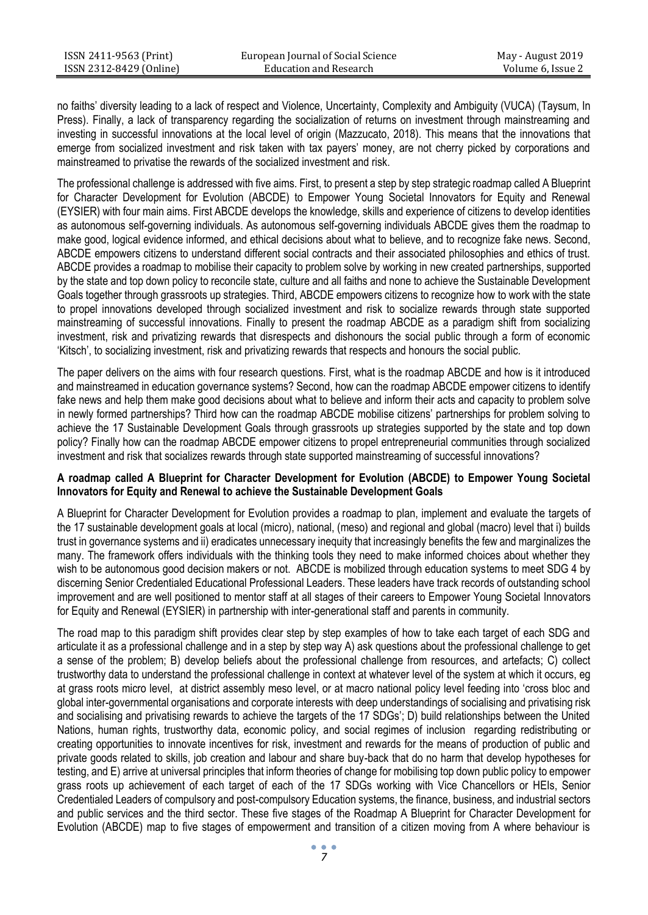no faiths' diversity leading to a lack of respect and Violence, Uncertainty, Complexity and Ambiguity (VUCA) (Taysum, In Press). Finally, a lack of transparency regarding the socialization of returns on investment through mainstreaming and investing in successful innovations at the local level of origin (Mazzucato, 2018). This means that the innovations that emerge from socialized investment and risk taken with tax payers' money, are not cherry picked by corporations and mainstreamed to privatise the rewards of the socialized investment and risk.

The professional challenge is addressed with five aims. First, to present a step by step strategic roadmap called A Blueprint for Character Development for Evolution (ABCDE) to Empower Young Societal Innovators for Equity and Renewal (EYSIER) with four main aims. First ABCDE develops the knowledge, skills and experience of citizens to develop identities as autonomous self-governing individuals. As autonomous self-governing individuals ABCDE gives them the roadmap to make good, logical evidence informed, and ethical decisions about what to believe, and to recognize fake news. Second, ABCDE empowers citizens to understand different social contracts and their associated philosophies and ethics of trust. ABCDE provides a roadmap to mobilise their capacity to problem solve by working in new created partnerships, supported by the state and top down policy to reconcile state, culture and all faiths and none to achieve the Sustainable Development Goals together through grassroots up strategies. Third, ABCDE empowers citizens to recognize how to work with the state to propel innovations developed through socialized investment and risk to socialize rewards through state supported mainstreaming of successful innovations. Finally to present the roadmap ABCDE as a paradigm shift from socializing investment, risk and privatizing rewards that disrespects and dishonours the social public through a form of economic 'Kitsch', to socializing investment, risk and privatizing rewards that respects and honours the social public.

The paper delivers on the aims with four research questions. First, what is the roadmap ABCDE and how is it introduced and mainstreamed in education governance systems? Second, how can the roadmap ABCDE empower citizens to identify fake news and help them make good decisions about what to believe and inform their acts and capacity to problem solve in newly formed partnerships? Third how can the roadmap ABCDE mobilise citizens' partnerships for problem solving to achieve the 17 Sustainable Development Goals through grassroots up strategies supported by the state and top down policy? Finally how can the roadmap ABCDE empower citizens to propel entrepreneurial communities through socialized investment and risk that socializes rewards through state supported mainstreaming of successful innovations?

## **A roadmap called A Blueprint for Character Development for Evolution (ABCDE) to Empower Young Societal Innovators for Equity and Renewal to achieve the Sustainable Development Goals**

A Blueprint for Character Development for Evolution provides a roadmap to plan, implement and evaluate the targets of the 17 sustainable development goals at local (micro), national, (meso) and regional and global (macro) level that i) builds trust in governance systems and ii) eradicates unnecessary inequity that increasingly benefits the few and marginalizes the many. The framework offers individuals with the thinking tools they need to make informed choices about whether they wish to be autonomous good decision makers or not. ABCDE is mobilized through education systems to meet SDG 4 by discerning Senior Credentialed Educational Professional Leaders. These leaders have track records of outstanding school improvement and are well positioned to mentor staff at all stages of their careers to Empower Young Societal Innovators for Equity and Renewal (EYSIER) in partnership with inter-generational staff and parents in community.

The road map to this paradigm shift provides clear step by step examples of how to take each target of each SDG and articulate it as a professional challenge and in a step by step way A) ask questions about the professional challenge to get a sense of the problem; B) develop beliefs about the professional challenge from resources, and artefacts; C) collect trustworthy data to understand the professional challenge in context at whatever level of the system at which it occurs, eg at grass roots micro level, at district assembly meso level, or at macro national policy level feeding into 'cross bloc and global inter-governmental organisations and corporate interests with deep understandings of socialising and privatising risk and socialising and privatising rewards to achieve the targets of the 17 SDGs'; D) build relationships between the United Nations, human rights, trustworthy data, economic policy, and social regimes of inclusion regarding redistributing or creating opportunities to innovate incentives for risk, investment and rewards for the means of production of public and private goods related to skills, job creation and labour and share buy-back that do no harm that develop hypotheses for testing, and E) arrive at universal principles that inform theories of change for mobilising top down public policy to empower grass roots up achievement of each target of each of the 17 SDGs working with Vice Chancellors or HEIs, Senior Credentialed Leaders of compulsory and post-compulsory Education systems, the finance, business, and industrial sectors and public services and the third sector. These five stages of the Roadmap A Blueprint for Character Development for Evolution (ABCDE) map to five stages of empowerment and transition of a citizen moving from A where behaviour is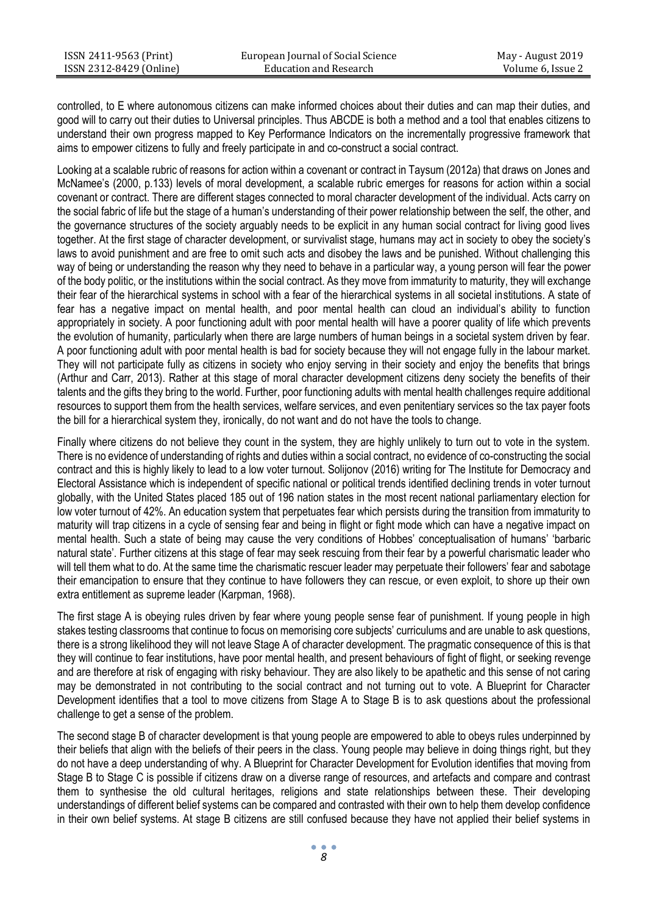controlled, to E where autonomous citizens can make informed choices about their duties and can map their duties, and good will to carry out their duties to Universal principles. Thus ABCDE is both a method and a tool that enables citizens to understand their own progress mapped to Key Performance Indicators on the incrementally progressive framework that aims to empower citizens to fully and freely participate in and co-construct a social contract.

Looking at a scalable rubric of reasons for action within a covenant or contract in Taysum (2012a) that draws on Jones and McNamee's (2000, p.133) levels of moral development, a scalable rubric emerges for reasons for action within a social covenant or contract. There are different stages connected to moral character development of the individual. Acts carry on the social fabric of life but the stage of a human's understanding of their power relationship between the self, the other, and the governance structures of the society arguably needs to be explicit in any human social contract for living good lives together. At the first stage of character development, or survivalist stage, humans may act in society to obey the society's laws to avoid punishment and are free to omit such acts and disobey the laws and be punished. Without challenging this way of being or understanding the reason why they need to behave in a particular way, a young person will fear the power of the body politic, or the institutions within the social contract. As they move from immaturity to maturity, they will exchange their fear of the hierarchical systems in school with a fear of the hierarchical systems in all societal institutions. A state of fear has a negative impact on mental health, and poor mental health can cloud an individual's ability to function appropriately in society. A poor functioning adult with poor mental health will have a poorer quality of life which prevents the evolution of humanity, particularly when there are large numbers of human beings in a societal system driven by fear. A poor functioning adult with poor mental health is bad for society because they will not engage fully in the labour market. They will not participate fully as citizens in society who enjoy serving in their society and enjoy the benefits that brings (Arthur and Carr, 2013). Rather at this stage of moral character development citizens deny society the benefits of their talents and the gifts they bring to the world. Further, poor functioning adults with mental health challenges require additional resources to support them from the health services, welfare services, and even penitentiary services so the tax payer foots the bill for a hierarchical system they, ironically, do not want and do not have the tools to change.

Finally where citizens do not believe they count in the system, they are highly unlikely to turn out to vote in the system. There is no evidence of understanding of rights and duties within a social contract, no evidence of co-constructing the social contract and this is highly likely to lead to a low voter turnout. Solijonov (2016) writing for The Institute for Democracy and Electoral Assistance which is independent of specific national or political trends identified declining trends in voter turnout globally, with the United States placed 185 out of 196 nation states in the most recent national parliamentary election for low voter turnout of 42%. An education system that perpetuates fear which persists during the transition from immaturity to maturity will trap citizens in a cycle of sensing fear and being in flight or fight mode which can have a negative impact on mental health. Such a state of being may cause the very conditions of Hobbes' conceptualisation of humans' 'barbaric natural state'. Further citizens at this stage of fear may seek rescuing from their fear by a powerful charismatic leader who will tell them what to do. At the same time the charismatic rescuer leader may perpetuate their followers' fear and sabotage their emancipation to ensure that they continue to have followers they can rescue, or even exploit, to shore up their own extra entitlement as supreme leader (Karpman, 1968).

The first stage A is obeying rules driven by fear where young people sense fear of punishment. If young people in high stakes testing classrooms that continue to focus on memorising core subjects' curriculums and are unable to ask questions, there is a strong likelihood they will not leave Stage A of character development. The pragmatic consequence of this is that they will continue to fear institutions, have poor mental health, and present behaviours of fight of flight, or seeking revenge and are therefore at risk of engaging with risky behaviour. They are also likely to be apathetic and this sense of not caring may be demonstrated in not contributing to the social contract and not turning out to vote. A Blueprint for Character Development identifies that a tool to move citizens from Stage A to Stage B is to ask questions about the professional challenge to get a sense of the problem.

The second stage B of character development is that young people are empowered to able to obeys rules underpinned by their beliefs that align with the beliefs of their peers in the class. Young people may believe in doing things right, but they do not have a deep understanding of why. A Blueprint for Character Development for Evolution identifies that moving from Stage B to Stage C is possible if citizens draw on a diverse range of resources, and artefacts and compare and contrast them to synthesise the old cultural heritages, religions and state relationships between these. Their developing understandings of different belief systems can be compared and contrasted with their own to help them develop confidence in their own belief systems. At stage B citizens are still confused because they have not applied their belief systems in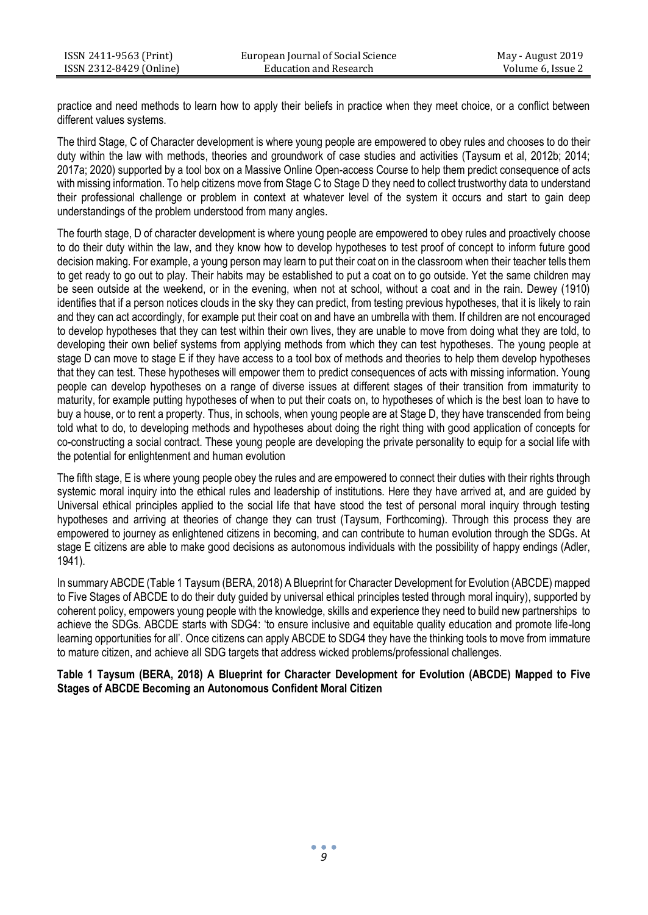practice and need methods to learn how to apply their beliefs in practice when they meet choice, or a conflict between different values systems.

The third Stage, C of Character development is where young people are empowered to obey rules and chooses to do their duty within the law with methods, theories and groundwork of case studies and activities (Taysum et al, 2012b; 2014; 2017a; 2020) supported by a tool box on a Massive Online Open-access Course to help them predict consequence of acts with missing information. To help citizens move from Stage C to Stage D they need to collect trustworthy data to understand their professional challenge or problem in context at whatever level of the system it occurs and start to gain deep understandings of the problem understood from many angles.

The fourth stage, D of character development is where young people are empowered to obey rules and proactively choose to do their duty within the law, and they know how to develop hypotheses to test proof of concept to inform future good decision making. For example, a young person may learn to put their coat on in the classroom when their teacher tells them to get ready to go out to play. Their habits may be established to put a coat on to go outside. Yet the same children may be seen outside at the weekend, or in the evening, when not at school, without a coat and in the rain. Dewey (1910) identifies that if a person notices clouds in the sky they can predict, from testing previous hypotheses, that it is likely to rain and they can act accordingly, for example put their coat on and have an umbrella with them. If children are not encouraged to develop hypotheses that they can test within their own lives, they are unable to move from doing what they are told, to developing their own belief systems from applying methods from which they can test hypotheses. The young people at stage D can move to stage E if they have access to a tool box of methods and theories to help them develop hypotheses that they can test. These hypotheses will empower them to predict consequences of acts with missing information. Young people can develop hypotheses on a range of diverse issues at different stages of their transition from immaturity to maturity, for example putting hypotheses of when to put their coats on, to hypotheses of which is the best loan to have to buy a house, or to rent a property. Thus, in schools, when young people are at Stage D, they have transcended from being told what to do, to developing methods and hypotheses about doing the right thing with good application of concepts for co-constructing a social contract. These young people are developing the private personality to equip for a social life with the potential for enlightenment and human evolution

The fifth stage, E is where young people obey the rules and are empowered to connect their duties with their rights through systemic moral inquiry into the ethical rules and leadership of institutions. Here they have arrived at, and are guided by Universal ethical principles applied to the social life that have stood the test of personal moral inquiry through testing hypotheses and arriving at theories of change they can trust (Taysum, Forthcoming). Through this process they are empowered to journey as enlightened citizens in becoming, and can contribute to human evolution through the SDGs. At stage E citizens are able to make good decisions as autonomous individuals with the possibility of happy endings (Adler, 1941).

In summary ABCDE (Table 1 Taysum (BERA, 2018) A Blueprint for Character Development for Evolution (ABCDE) mapped to Five Stages of ABCDE to do their duty guided by universal ethical principles tested through moral inquiry), supported by coherent policy, empowers young people with the knowledge, skills and experience they need to build new partnerships to achieve the SDGs. ABCDE starts with SDG4: 'to ensure inclusive and equitable quality education and promote life-long learning opportunities for all'. Once citizens can apply ABCDE to SDG4 they have the thinking tools to move from immature to mature citizen, and achieve all SDG targets that address wicked problems/professional challenges.

**Table 1 Taysum (BERA, 2018) A Blueprint for Character Development for Evolution (ABCDE) Mapped to Five Stages of ABCDE Becoming an Autonomous Confident Moral Citizen**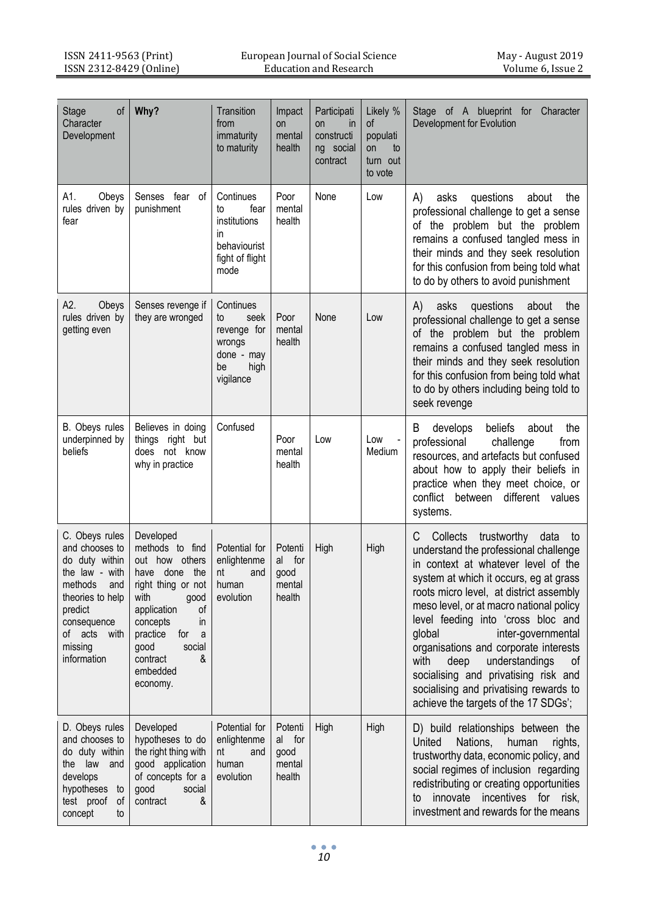| οf<br>Stage<br>Character<br>Development                                                                                                                                           | Why?                                                                                                                                                                                                                            | Transition<br>from<br>immaturity<br>to maturity                                           | Impact<br>on<br>mental<br>health              | Participati<br>$\mathsf{in}$<br><b>on</b><br>constructi<br>ng social<br>contract | Likely %<br>οf<br>populati<br>on<br>to<br>turn out<br>to vote | Stage of A blueprint for Character<br>Development for Evolution                                                                                                                                                                                                                                                                                                                                                                                                                                                                             |
|-----------------------------------------------------------------------------------------------------------------------------------------------------------------------------------|---------------------------------------------------------------------------------------------------------------------------------------------------------------------------------------------------------------------------------|-------------------------------------------------------------------------------------------|-----------------------------------------------|----------------------------------------------------------------------------------|---------------------------------------------------------------|---------------------------------------------------------------------------------------------------------------------------------------------------------------------------------------------------------------------------------------------------------------------------------------------------------------------------------------------------------------------------------------------------------------------------------------------------------------------------------------------------------------------------------------------|
| A1.<br>Obeys<br>rules driven by<br>fear                                                                                                                                           | Senses fear of<br>punishment                                                                                                                                                                                                    | Continues<br>to<br>fear<br>institutions<br>in<br>behaviourist<br>fight of flight<br>mode  | Poor<br>mental<br>health                      | None                                                                             | Low                                                           | questions<br>asks<br>about<br>the<br>A).<br>professional challenge to get a sense<br>of the problem but the problem<br>remains a confused tangled mess in<br>their minds and they seek resolution<br>for this confusion from being told what<br>to do by others to avoid punishment                                                                                                                                                                                                                                                         |
| A2.<br>Obeys<br>rules driven by<br>getting even                                                                                                                                   | Senses revenge if<br>they are wronged                                                                                                                                                                                           | Continues<br>seek<br>to<br>revenge for<br>wrongs<br>done - may<br>high<br>be<br>vigilance | Poor<br>mental<br>health                      | None                                                                             | Low                                                           | questions<br>A)<br>asks<br>about<br>the<br>professional challenge to get a sense<br>of the problem but the problem<br>remains a confused tangled mess in<br>their minds and they seek resolution<br>for this confusion from being told what<br>to do by others including being told to<br>seek revenge                                                                                                                                                                                                                                      |
| B. Obeys rules<br>underpinned by<br>beliefs                                                                                                                                       | Believes in doing<br>things right but<br>does not know<br>why in practice                                                                                                                                                       | Confused                                                                                  | Poor<br>mental<br>health                      | Low                                                                              | Low<br>Medium                                                 | B<br>beliefs<br>develops<br>about<br>the<br>professional<br>challenge<br>from<br>resources, and artefacts but confused<br>about how to apply their beliefs in<br>practice when they meet choice, or<br>conflict between different values<br>systems.                                                                                                                                                                                                                                                                                        |
| C. Obeys rules<br>and chooses to<br>do duty within<br>the law - with<br>methods<br>and<br>theories to help<br>predict<br>consequence<br>with<br>of acts<br>missing<br>information | Developed<br>methods to find<br>out how others<br>have done the<br>right thing or not<br>with<br>good<br>of<br>application<br>concepts<br>in<br>practice<br>for<br>a<br>good<br>social<br>contract<br>&<br>embedded<br>economy. | Potential for<br>enlightenme<br>nt<br>and<br>human<br>evolution                           | Potenti<br>al for<br>good<br>mental<br>health | High                                                                             | High                                                          | Collects<br>trustworthy<br>data<br>C<br>to<br>understand the professional challenge<br>in context at whatever level of the<br>system at which it occurs, eg at grass<br>roots micro level, at district assembly<br>meso level, or at macro national policy<br>level feeding into 'cross bloc and<br>qlobal<br>inter-governmental<br>organisations and corporate interests<br>with<br>deep<br>understandings<br>οf<br>socialising and privatising risk and<br>socialising and privatising rewards to<br>achieve the targets of the 17 SDGs'; |
| D. Obeys rules<br>and chooses to<br>do duty within<br>the law and<br>develops<br>hypotheses to<br>test proof<br>οf<br>concept<br>to                                               | Developed<br>hypotheses to do<br>the right thing with<br>good application<br>of concepts for a<br>social<br>good<br>contract<br>&                                                                                               | Potential for<br>enlightenme<br>nt<br>and<br>human<br>evolution                           | Potenti<br>al for<br>good<br>mental<br>health | High                                                                             | High                                                          | D) build relationships between the<br>United<br>Nations,<br>human<br>rights,<br>trustworthy data, economic policy, and<br>social regimes of inclusion regarding<br>redistributing or creating opportunities<br>innovate incentives for risk,<br>to<br>investment and rewards for the means                                                                                                                                                                                                                                                  |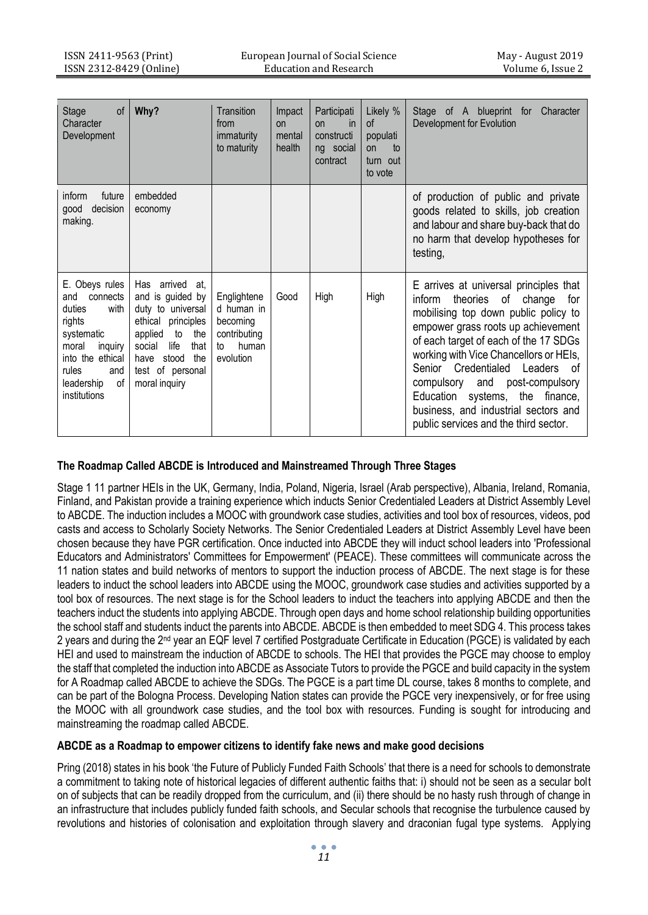| <b>Stage</b><br>of<br>Character<br>Development                                                                                                                          | Why?                                                                                                                                                                                             | Transition<br>from<br>immaturity<br>to maturity                                   | Impact<br>n <sub>n</sub><br>mental<br>health | Participati<br><i>in</i><br>n <sub>n</sub><br>constructi<br>ng social<br>contract | Likely %<br><sub>of</sub><br>populati<br>to<br>on<br>turn out<br>to vote | Stage of A blueprint for<br>Character<br>Development for Evolution                                                                                                                                                                                                                                                                                                                                                                              |
|-------------------------------------------------------------------------------------------------------------------------------------------------------------------------|--------------------------------------------------------------------------------------------------------------------------------------------------------------------------------------------------|-----------------------------------------------------------------------------------|----------------------------------------------|-----------------------------------------------------------------------------------|--------------------------------------------------------------------------|-------------------------------------------------------------------------------------------------------------------------------------------------------------------------------------------------------------------------------------------------------------------------------------------------------------------------------------------------------------------------------------------------------------------------------------------------|
| inform<br>future<br>decision<br>good<br>making.                                                                                                                         | embedded<br>economy                                                                                                                                                                              |                                                                                   |                                              |                                                                                   |                                                                          | of production of public and private<br>goods related to skills, job creation<br>and labour and share buy-back that do<br>no harm that develop hypotheses for<br>testing,                                                                                                                                                                                                                                                                        |
| E. Obeys rules<br>and<br>connects<br>duties<br>with<br>rights<br>systematic<br>moral<br>inguiry<br>into the ethical<br>rules<br>and<br>of<br>leadership<br>institutions | Has arrived<br>at.<br>and is quided by<br>duty to universal<br>ethical principles<br>applied<br>to<br>the<br>life<br>that<br>social<br>stood<br>the<br>have<br>test of personal<br>moral inquiry | Englightene<br>d human in<br>becoming<br>contributing<br>human<br>to<br>evolution | Good                                         | High                                                                              | High                                                                     | E arrives at universal principles that<br>of<br>inform<br>theories<br>change<br>for<br>mobilising top down public policy to<br>empower grass roots up achievement<br>of each target of each of the 17 SDGs<br>working with Vice Chancellors or HEIs.<br>Senior Credentialed<br>Leaders of<br>compulsory and post-compulsory<br>Education systems, the finance,<br>business, and industrial sectors and<br>public services and the third sector. |

# **The Roadmap Called ABCDE is Introduced and Mainstreamed Through Three Stages**

Stage 1 11 partner HEIs in the UK, Germany, India, Poland, Nigeria, Israel (Arab perspective), Albania, Ireland, Romania, Finland, and Pakistan provide a training experience which inducts Senior Credentialed Leaders at District Assembly Level to ABCDE. The induction includes a MOOC with groundwork case studies, activities and tool box of resources, videos, pod casts and access to Scholarly Society Networks. The Senior Credentialed Leaders at District Assembly Level have been chosen because they have PGR certification. Once inducted into ABCDE they will induct school leaders into 'Professional Educators and Administrators' Committees for Empowerment' (PEACE). These committees will communicate across the 11 nation states and build networks of mentors to support the induction process of ABCDE. The next stage is for these leaders to induct the school leaders into ABCDE using the MOOC, groundwork case studies and activities supported by a tool box of resources. The next stage is for the School leaders to induct the teachers into applying ABCDE and then the teachers induct the students into applying ABCDE. Through open days and home school relationship building opportunities the school staff and students induct the parents into ABCDE. ABCDE is then embedded to meet SDG 4. This process takes 2 years and during the 2<sup>nd</sup> year an EQF level 7 certified Postgraduate Certificate in Education (PGCE) is validated by each HEI and used to mainstream the induction of ABCDE to schools. The HEI that provides the PGCE may choose to employ the staff that completed the induction into ABCDE as Associate Tutors to provide the PGCE and build capacity in the system for A Roadmap called ABCDE to achieve the SDGs. The PGCE is a part time DL course, takes 8 months to complete, and can be part of the Bologna Process. Developing Nation states can provide the PGCE very inexpensively, or for free using the MOOC with all groundwork case studies, and the tool box with resources. Funding is sought for introducing and mainstreaming the roadmap called ABCDE.

## **ABCDE as a Roadmap to empower citizens to identify fake news and make good decisions**

Pring (2018) states in his book 'the Future of Publicly Funded Faith Schools' that there is a need for schools to demonstrate a commitment to taking note of historical legacies of different authentic faiths that: i) should not be seen as a secular bolt on of subjects that can be readily dropped from the curriculum, and (ii) there should be no hasty rush through of change in an infrastructure that includes publicly funded faith schools, and Secular schools that recognise the turbulence caused by revolutions and histories of colonisation and exploitation through slavery and draconian fugal type systems. Applying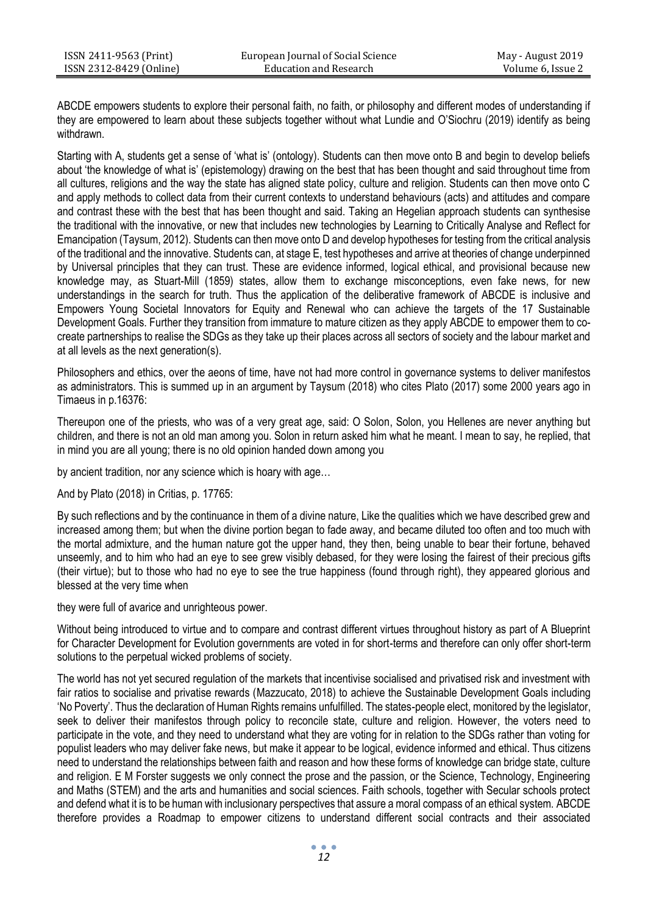ABCDE empowers students to explore their personal faith, no faith, or philosophy and different modes of understanding if they are empowered to learn about these subjects together without what Lundie and O'Siochru (2019) identify as being withdrawn.

Starting with A, students get a sense of 'what is' (ontology). Students can then move onto B and begin to develop beliefs about 'the knowledge of what is' (epistemology) drawing on the best that has been thought and said throughout time from all cultures, religions and the way the state has aligned state policy, culture and religion. Students can then move onto C and apply methods to collect data from their current contexts to understand behaviours (acts) and attitudes and compare and contrast these with the best that has been thought and said. Taking an Hegelian approach students can synthesise the traditional with the innovative, or new that includes new technologies by Learning to Critically Analyse and Reflect for Emancipation (Taysum, 2012). Students can then move onto D and develop hypotheses for testing from the critical analysis of the traditional and the innovative. Students can, at stage E, test hypotheses and arrive at theories of change underpinned by Universal principles that they can trust. These are evidence informed, logical ethical, and provisional because new knowledge may, as Stuart-Mill (1859) states, allow them to exchange misconceptions, even fake news, for new understandings in the search for truth. Thus the application of the deliberative framework of ABCDE is inclusive and Empowers Young Societal Innovators for Equity and Renewal who can achieve the targets of the 17 Sustainable Development Goals. Further they transition from immature to mature citizen as they apply ABCDE to empower them to cocreate partnerships to realise the SDGs as they take up their places across all sectors of society and the labour market and at all levels as the next generation(s).

Philosophers and ethics, over the aeons of time, have not had more control in governance systems to deliver manifestos as administrators. This is summed up in an argument by Taysum (2018) who cites Plato (2017) some 2000 years ago in Timaeus in p.16376:

Thereupon one of the priests, who was of a very great age, said: O Solon, Solon, you Hellenes are never anything but children, and there is not an old man among you. Solon in return asked him what he meant. I mean to say, he replied, that in mind you are all young; there is no old opinion handed down among you

by ancient tradition, nor any science which is hoary with age…

And by Plato (2018) in Critias, p. 17765:

By such reflections and by the continuance in them of a divine nature, Like the qualities which we have described grew and increased among them; but when the divine portion began to fade away, and became diluted too often and too much with the mortal admixture, and the human nature got the upper hand, they then, being unable to bear their fortune, behaved unseemly, and to him who had an eye to see grew visibly debased, for they were losing the fairest of their precious gifts (their virtue); but to those who had no eye to see the true happiness (found through right), they appeared glorious and blessed at the very time when

they were full of avarice and unrighteous power.

Without being introduced to virtue and to compare and contrast different virtues throughout history as part of A Blueprint for Character Development for Evolution governments are voted in for short-terms and therefore can only offer short-term solutions to the perpetual wicked problems of society.

The world has not yet secured regulation of the markets that incentivise socialised and privatised risk and investment with fair ratios to socialise and privatise rewards (Mazzucato, 2018) to achieve the Sustainable Development Goals including 'No Poverty'. Thus the declaration of Human Rights remains unfulfilled. The states-people elect, monitored by the legislator, seek to deliver their manifestos through policy to reconcile state, culture and religion. However, the voters need to participate in the vote, and they need to understand what they are voting for in relation to the SDGs rather than voting for populist leaders who may deliver fake news, but make it appear to be logical, evidence informed and ethical. Thus citizens need to understand the relationships between faith and reason and how these forms of knowledge can bridge state, culture and religion. E M Forster suggests we only connect the prose and the passion, or the Science, Technology, Engineering and Maths (STEM) and the arts and humanities and social sciences. Faith schools, together with Secular schools protect and defend what it is to be human with inclusionary perspectives that assure a moral compass of an ethical system. ABCDE therefore provides a Roadmap to empower citizens to understand different social contracts and their associated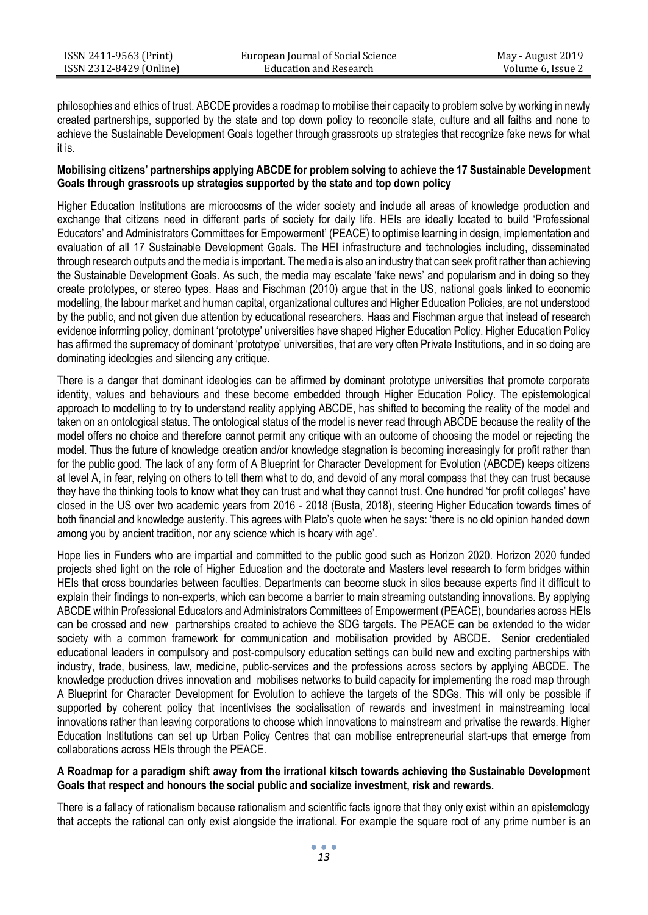philosophies and ethics of trust. ABCDE provides a roadmap to mobilise their capacity to problem solve by working in newly created partnerships, supported by the state and top down policy to reconcile state, culture and all faiths and none to achieve the Sustainable Development Goals together through grassroots up strategies that recognize fake news for what it is.

## **Mobilising citizens' partnerships applying ABCDE for problem solving to achieve the 17 Sustainable Development Goals through grassroots up strategies supported by the state and top down policy**

Higher Education Institutions are microcosms of the wider society and include all areas of knowledge production and exchange that citizens need in different parts of society for daily life. HEIs are ideally located to build 'Professional Educators' and Administrators Committees for Empowerment' (PEACE) to optimise learning in design, implementation and evaluation of all 17 Sustainable Development Goals. The HEI infrastructure and technologies including, disseminated through research outputs and the media is important. The media is also an industry that can seek profit rather than achieving the Sustainable Development Goals. As such, the media may escalate 'fake news' and popularism and in doing so they create prototypes, or stereo types. Haas and Fischman (2010) argue that in the US, national goals linked to economic modelling, the labour market and human capital, organizational cultures and Higher Education Policies, are not understood by the public, and not given due attention by educational researchers. Haas and Fischman argue that instead of research evidence informing policy, dominant 'prototype' universities have shaped Higher Education Policy. Higher Education Policy has affirmed the supremacy of dominant 'prototype' universities, that are very often Private Institutions, and in so doing are dominating ideologies and silencing any critique.

There is a danger that dominant ideologies can be affirmed by dominant prototype universities that promote corporate identity, values and behaviours and these become embedded through Higher Education Policy. The epistemological approach to modelling to try to understand reality applying ABCDE, has shifted to becoming the reality of the model and taken on an ontological status. The ontological status of the model is never read through ABCDE because the reality of the model offers no choice and therefore cannot permit any critique with an outcome of choosing the model or rejecting the model. Thus the future of knowledge creation and/or knowledge stagnation is becoming increasingly for profit rather than for the public good. The lack of any form of A Blueprint for Character Development for Evolution (ABCDE) keeps citizens at level A, in fear, relying on others to tell them what to do, and devoid of any moral compass that they can trust because they have the thinking tools to know what they can trust and what they cannot trust. One hundred 'for profit colleges' have closed in the US over two academic years from 2016 - 2018 (Busta, 2018), steering Higher Education towards times of both financial and knowledge austerity. This agrees with Plato's quote when he says: 'there is no old opinion handed down among you by ancient tradition, nor any science which is hoary with age'.

Hope lies in Funders who are impartial and committed to the public good such as Horizon 2020. Horizon 2020 funded projects shed light on the role of Higher Education and the doctorate and Masters level research to form bridges within HEIs that cross boundaries between faculties. Departments can become stuck in silos because experts find it difficult to explain their findings to non-experts, which can become a barrier to main streaming outstanding innovations. By applying ABCDE within Professional Educators and Administrators Committees of Empowerment (PEACE), boundaries across HEIs can be crossed and new partnerships created to achieve the SDG targets. The PEACE can be extended to the wider society with a common framework for communication and mobilisation provided by ABCDE. Senior credentialed educational leaders in compulsory and post-compulsory education settings can build new and exciting partnerships with industry, trade, business, law, medicine, public-services and the professions across sectors by applying ABCDE. The knowledge production drives innovation and mobilises networks to build capacity for implementing the road map through A Blueprint for Character Development for Evolution to achieve the targets of the SDGs. This will only be possible if supported by coherent policy that incentivises the socialisation of rewards and investment in mainstreaming local innovations rather than leaving corporations to choose which innovations to mainstream and privatise the rewards. Higher Education Institutions can set up Urban Policy Centres that can mobilise entrepreneurial start-ups that emerge from collaborations across HEIs through the PEACE.

## **A Roadmap for a paradigm shift away from the irrational kitsch towards achieving the Sustainable Development Goals that respect and honours the social public and socialize investment, risk and rewards.**

There is a fallacy of rationalism because rationalism and scientific facts ignore that they only exist within an epistemology that accepts the rational can only exist alongside the irrational. For example the square root of any prime number is an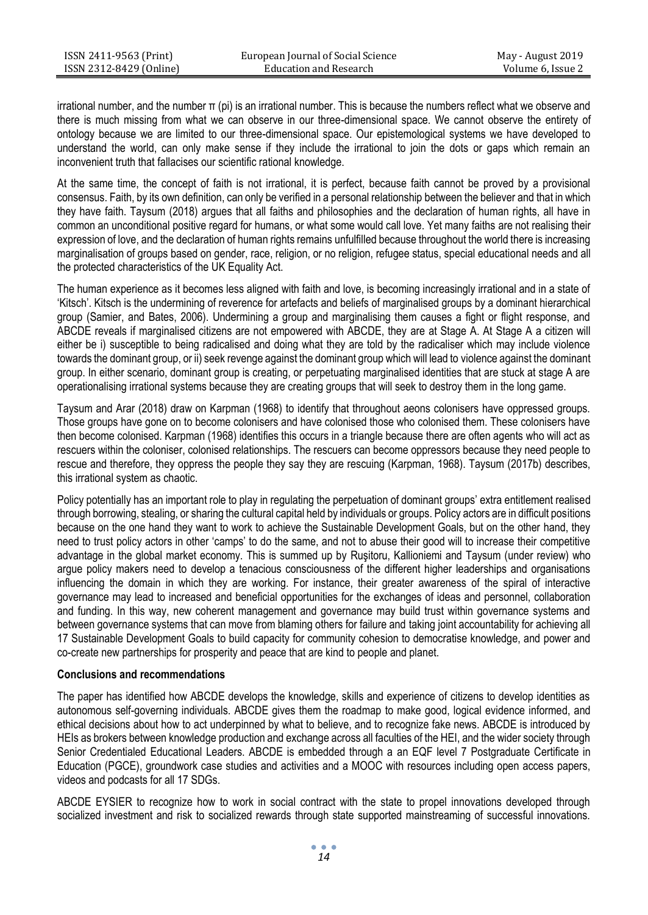irrational number, and the number π (pi) is an irrational number. This is because the numbers reflect what we observe and there is much missing from what we can observe in our three-dimensional space. We cannot observe the entirety of ontology because we are limited to our three-dimensional space. Our epistemological systems we have developed to understand the world, can only make sense if they include the irrational to join the dots or gaps which remain an inconvenient truth that fallacises our scientific rational knowledge.

At the same time, the concept of faith is not irrational, it is perfect, because faith cannot be proved by a provisional consensus. Faith, by its own definition, can only be verified in a personal relationship between the believer and that in which they have faith. Taysum (2018) argues that all faiths and philosophies and the declaration of human rights, all have in common an unconditional positive regard for humans, or what some would call love. Yet many faiths are not realising their expression of love, and the declaration of human rights remains unfulfilled because throughout the world there is increasing marginalisation of groups based on gender, race, religion, or no religion, refugee status, special educational needs and all the protected characteristics of the UK Equality Act.

The human experience as it becomes less aligned with faith and love, is becoming increasingly irrational and in a state of 'Kitsch'. Kitsch is the undermining of reverence for artefacts and beliefs of marginalised groups by a dominant hierarchical group (Samier, and Bates, 2006). Undermining a group and marginalising them causes a fight or flight response, and ABCDE reveals if marginalised citizens are not empowered with ABCDE, they are at Stage A. At Stage A a citizen will either be i) susceptible to being radicalised and doing what they are told by the radicaliser which may include violence towards the dominant group, or ii) seek revenge against the dominant group which will lead to violence against the dominant group. In either scenario, dominant group is creating, or perpetuating marginalised identities that are stuck at stage A are operationalising irrational systems because they are creating groups that will seek to destroy them in the long game.

Taysum and Arar (2018) draw on Karpman (1968) to identify that throughout aeons colonisers have oppressed groups. Those groups have gone on to become colonisers and have colonised those who colonised them. These colonisers have then become colonised. Karpman (1968) identifies this occurs in a triangle because there are often agents who will act as rescuers within the coloniser, colonised relationships. The rescuers can become oppressors because they need people to rescue and therefore, they oppress the people they say they are rescuing (Karpman, 1968). Taysum (2017b) describes, this irrational system as chaotic.

Policy potentially has an important role to play in regulating the perpetuation of dominant groups' extra entitlement realised through borrowing, stealing, or sharing the cultural capital held by individuals or groups. Policy actors are in difficult positions because on the one hand they want to work to achieve the Sustainable Development Goals, but on the other hand, they need to trust policy actors in other 'camps' to do the same, and not to abuse their good will to increase their competitive advantage in the global market economy. This is summed up by Ruşitoru, Kallioniemi and Taysum (under review) who argue policy makers need to develop a tenacious consciousness of the different higher leaderships and organisations influencing the domain in which they are working. For instance, their greater awareness of the spiral of interactive governance may lead to increased and beneficial opportunities for the exchanges of ideas and personnel, collaboration and funding. In this way, new coherent management and governance may build trust within governance systems and between governance systems that can move from blaming others for failure and taking joint accountability for achieving all 17 Sustainable Development Goals to build capacity for community cohesion to democratise knowledge, and power and co-create new partnerships for prosperity and peace that are kind to people and planet.

### **Conclusions and recommendations**

The paper has identified how ABCDE develops the knowledge, skills and experience of citizens to develop identities as autonomous self-governing individuals. ABCDE gives them the roadmap to make good, logical evidence informed, and ethical decisions about how to act underpinned by what to believe, and to recognize fake news. ABCDE is introduced by HEIs as brokers between knowledge production and exchange across all faculties of the HEI, and the wider society through Senior Credentialed Educational Leaders. ABCDE is embedded through a an EQF level 7 Postgraduate Certificate in Education (PGCE), groundwork case studies and activities and a MOOC with resources including open access papers, videos and podcasts for all 17 SDGs.

ABCDE EYSIER to recognize how to work in social contract with the state to propel innovations developed through socialized investment and risk to socialized rewards through state supported mainstreaming of successful innovations.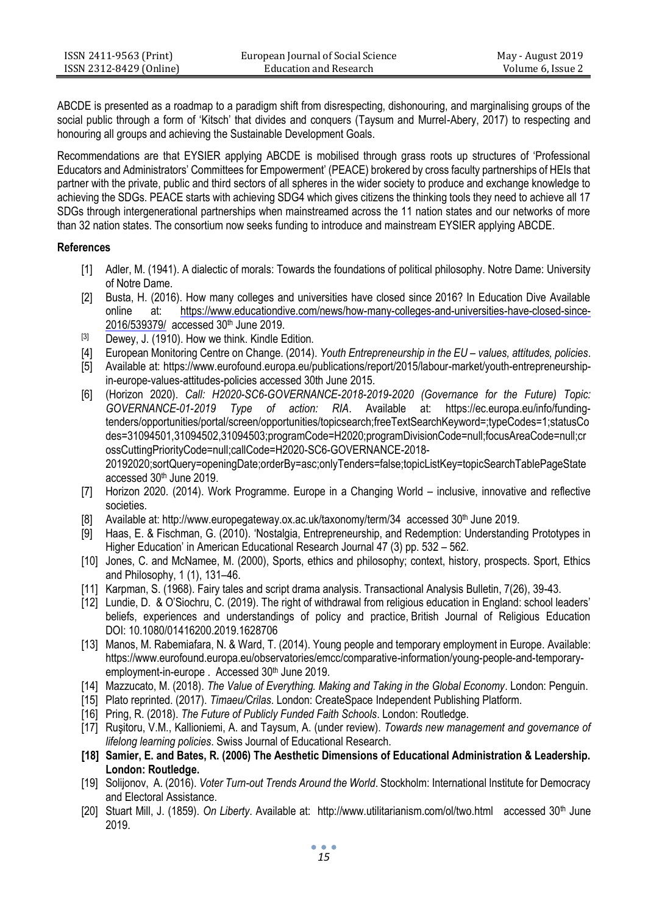| ISSN 2411-9563 (Print)  | European Journal of Social Science | May - August 2019 |
|-------------------------|------------------------------------|-------------------|
| ISSN 2312-8429 (Online) | Education and Research             | Volume 6, Issue 2 |
|                         |                                    |                   |

ABCDE is presented as a roadmap to a paradigm shift from disrespecting, dishonouring, and marginalising groups of the social public through a form of 'Kitsch' that divides and conquers (Taysum and Murrel-Abery, 2017) to respecting and honouring all groups and achieving the Sustainable Development Goals.

Recommendations are that EYSIER applying ABCDE is mobilised through grass roots up structures of 'Professional Educators and Administrators' Committees for Empowerment' (PEACE) brokered by cross faculty partnerships of HEIs that partner with the private, public and third sectors of all spheres in the wider society to produce and exchange knowledge to achieving the SDGs. PEACE starts with achieving SDG4 which gives citizens the thinking tools they need to achieve all 17 SDGs through intergenerational partnerships when mainstreamed across the 11 nation states and our networks of more than 32 nation states. The consortium now seeks funding to introduce and mainstream EYSIER applying ABCDE.

## **References**

- [1] Adler, M. (1941). A dialectic of morals: Towards the foundations of political philosophy. Notre Dame: University of Notre Dame.
- [2] Busta, H. (2016). How many colleges and universities have closed since 2016? In Education Dive Available online at: [https://www.educationdive.com/news/how-many-colleges-and-universities-have-closed-since-](https://www.educationdive.com/news/how-many-colleges-and-universities-have-closed-since-2016/539379/)[2016/539379/](https://www.educationdive.com/news/how-many-colleges-and-universities-have-closed-since-2016/539379/) accessed 30th June 2019.
- [3] Dewey, J. (1910). How we think. Kindle Edition.
- [4] European Monitoring Centre on Change. (2014). *Youth Entrepreneurship in the EU – values, attitudes, policies*.
- [5] Available at[: https://www.eurofound.europa.eu/publications/report/2015/labour-market/youth-entrepreneurship](https://www.eurofound.europa.eu/publications/report/2015/labour-market/youth-entrepreneurship-in-europe-values-attitudes-policies)[in-europe-values-attitudes-policies](https://www.eurofound.europa.eu/publications/report/2015/labour-market/youth-entrepreneurship-in-europe-values-attitudes-policies) accessed 30th June 2015.
- [6] (Horizon 2020). *Call: H2020-SC6-GOVERNANCE-2018-2019-2020 (Governance for the Future) Topic: GOVERNANCE-01-2019 Type of action: RIA*. Available at: [https://ec.europa.eu/info/funding](https://ec.europa.eu/info/funding-tenders/opportunities/portal/screen/opportunities/topicsearch;freeTextSearchKeyword=;typeCodes=1;statusCodes=31094501,31094502,31094503;programCode=H2020;programDivisionCode=null;focusAreaCode=null;crossCuttingPriorityCode=null;callCode=H2020-SC6-GOVERNANCE-2018-20192020;sortQuery=openingDate;orderBy=asc;onlyTenders=false;topicListKey=topicSearchTablePageState)[tenders/opportunities/portal/screen/opportunities/topicsearch;freeTextSearchKeyword=;typeCodes=1;statusCo](https://ec.europa.eu/info/funding-tenders/opportunities/portal/screen/opportunities/topicsearch;freeTextSearchKeyword=;typeCodes=1;statusCodes=31094501,31094502,31094503;programCode=H2020;programDivisionCode=null;focusAreaCode=null;crossCuttingPriorityCode=null;callCode=H2020-SC6-GOVERNANCE-2018-20192020;sortQuery=openingDate;orderBy=asc;onlyTenders=false;topicListKey=topicSearchTablePageState) [des=31094501,31094502,31094503;programCode=H2020;programDivisionCode=null;focusAreaCode=null;cr](https://ec.europa.eu/info/funding-tenders/opportunities/portal/screen/opportunities/topicsearch;freeTextSearchKeyword=;typeCodes=1;statusCodes=31094501,31094502,31094503;programCode=H2020;programDivisionCode=null;focusAreaCode=null;crossCuttingPriorityCode=null;callCode=H2020-SC6-GOVERNANCE-2018-20192020;sortQuery=openingDate;orderBy=asc;onlyTenders=false;topicListKey=topicSearchTablePageState) [ossCuttingPriorityCode=null;callCode=H2020-SC6-GOVERNANCE-2018-](https://ec.europa.eu/info/funding-tenders/opportunities/portal/screen/opportunities/topicsearch;freeTextSearchKeyword=;typeCodes=1;statusCodes=31094501,31094502,31094503;programCode=H2020;programDivisionCode=null;focusAreaCode=null;crossCuttingPriorityCode=null;callCode=H2020-SC6-GOVERNANCE-2018-20192020;sortQuery=openingDate;orderBy=asc;onlyTenders=false;topicListKey=topicSearchTablePageState) [20192020;sortQuery=openingDate;orderBy=asc;onlyTenders=false;topicListKey=topicSearchTablePageState](https://ec.europa.eu/info/funding-tenders/opportunities/portal/screen/opportunities/topicsearch;freeTextSearchKeyword=;typeCodes=1;statusCodes=31094501,31094502,31094503;programCode=H2020;programDivisionCode=null;focusAreaCode=null;crossCuttingPriorityCode=null;callCode=H2020-SC6-GOVERNANCE-2018-20192020;sortQuery=openingDate;orderBy=asc;onlyTenders=false;topicListKey=topicSearchTablePageState) accessed 30th June 2019.
- [7] Horizon 2020. (2014). Work Programme. Europe in a Changing World inclusive, innovative and reflective societies.
- [8] Available at: <http://www.europegateway.ox.ac.uk/taxonomy/term/34>accessed 30<sup>th</sup> June 2019.
- [9] Haas, E. & Fischman, G. (2010). 'Nostalgia, Entrepreneurship, and Redemption: Understanding Prototypes in Higher Education' in American Educational Research Journal 47 (3) pp. 532 – 562.
- [10] Jones, C. and McNamee, M. (2000), Sports, ethics and philosophy; context, history, prospects. Sport, Ethics and Philosophy, 1 (1), 131–46.
- [11] Karpman, S. (1968). Fairy tales and script drama analysis. Transactional Analysis Bulletin, 7(26), 39-43.
- [12] Lundie, D. & O'Siochru, C. (2019). The right of withdrawal from religious education in England: school leaders' beliefs, experiences and understandings of policy and practice, British Journal of Religious Education DOI: [10.1080/01416200.2019.1628706](https://doi.org/10.1080/01416200.2019.1628706)
- [13] Manos, M. Rabemiafara, N. & Ward, T. (2014). Young people and temporary employment in Europe. Available: [https://www.eurofound.europa.eu/observatories/emcc/comparative-information/young-people-and-temporary](https://www.eurofound.europa.eu/observatories/emcc/comparative-information/young-people-and-temporary-employment-in-europe)[employment-in-europe](https://www.eurofound.europa.eu/observatories/emcc/comparative-information/young-people-and-temporary-employment-in-europe). Accessed 30<sup>th</sup> June 2019.
- [14] Mazzucato, M. (2018). *The Value of Everything. Making and Taking in the Global Economy*. London: Penguin.
- [15] Plato reprinted. (2017). *Timaeu/Crilas*. London: CreateSpace Independent Publishing Platform.
- [16] Pring, R. (2018). *The Future of Publicly Funded Faith Schools*. London: Routledge.
- [17] Ruşitoru, V.M., Kallioniemi, A. and Taysum, A. (under review). *Towards new management and governance of lifelong learning policies*. Swiss Journal of Educational Research.
- **[18] Samier, E. and Bates, R. (2006) The Aesthetic Dimensions of Educational Administration & Leadership. London: Routledge.**
- [19] Solijonov, A. (2016). *Voter Turn-out Trends Around the World*. Stockholm: International Institute for Democracy and Electoral Assistance.
- [20] Stuart Mill, J. (1859). *On Liberty*. Available at: http://www.utilitarianism.com/ol/two.html accessed 30th June 2019.